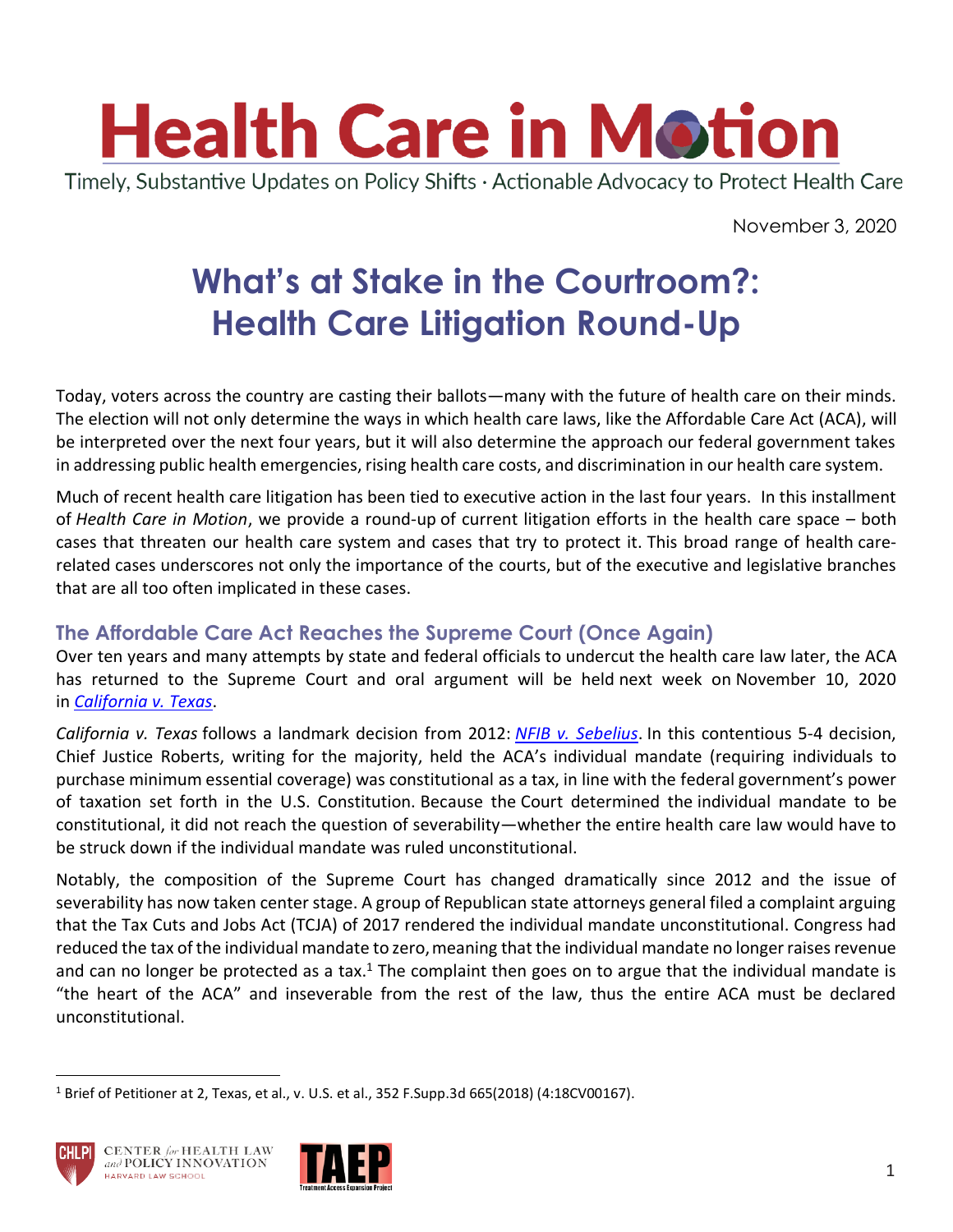

Timely, Substantive Updates on Policy Shifts · Actionable Advocacy to Protect Health Care

November 3, 2020

# **What's at Stake in the Courtroom?: Health Care Litigation Round-Up**

Today, voters across the country are casting their ballots—many with the future of health care on their minds. The election will not only determine the ways in which health care laws, like the Affordable Care Act (ACA), will be interpreted over the next four years, but it will also determine the approach our federal government takes in addressing public health emergencies, rising health care costs, and discrimination in our health care system.

Much of recent health care litigation has been tied to executive action in the last four years. In this installment of *Health Care in Motion*, we provide a round-up of current litigation efforts in the health care space – both cases that threaten our health care system and cases that try to protect it. This broad range of health carerelated cases underscores not only the importance of the courts, but of the executive and legislative branches that are all too often implicated in these cases.

## **The Affordable Care Act Reaches the Supreme Court (Once Again)**

Over ten years and many attempts by state and federal officials to undercut the health care law later, the ACA has returned to the Supreme Court and oral argument will be held next week on November 10, 2020 in *[California v.](https://www.supremecourt.gov/docket/docketfiles/html/public/19-840.html) Texas*.

*California v. Texas* follows a landmark decision from 2012: *[NFIB v. Sebelius](https://www.oyez.org/cases/2011/11-393)*. In this contentious 5-4 decision, Chief Justice Roberts, writing for the majority, held the ACA's individual mandate (requiring individuals to purchase minimum essential coverage) was constitutional as a tax, in line with the federal government's power of taxation set forth in the U.S. Constitution. Because the Court determined the individual mandate to be constitutional, it did not reach the question of severability—whether the entire health care law would have to be struck down if the individual mandate was ruled unconstitutional.

Notably, the composition of the Supreme Court has changed dramatically since 2012 and the issue of severability has now taken center stage. A group of Republican state attorneys general filed a complaint arguing that the Tax Cuts and Jobs Act (TCJA) of 2017 rendered the individual mandate unconstitutional. Congress had reduced the tax of the individual mandate to zero, meaning that the individual mandate no longer raises revenue and can no longer be protected as a tax.<sup>1</sup> The complaint then goes on to argue that the individual mandate is "the heart of the ACA" and inseverable from the rest of the law, thus the entire ACA must be declared unconstitutional.

<sup>1</sup> Brief of Petitioner at 2, Texas, et al., v. U.S. et al., 352 F.Supp.3d 665(2018) (4:18CV00167).



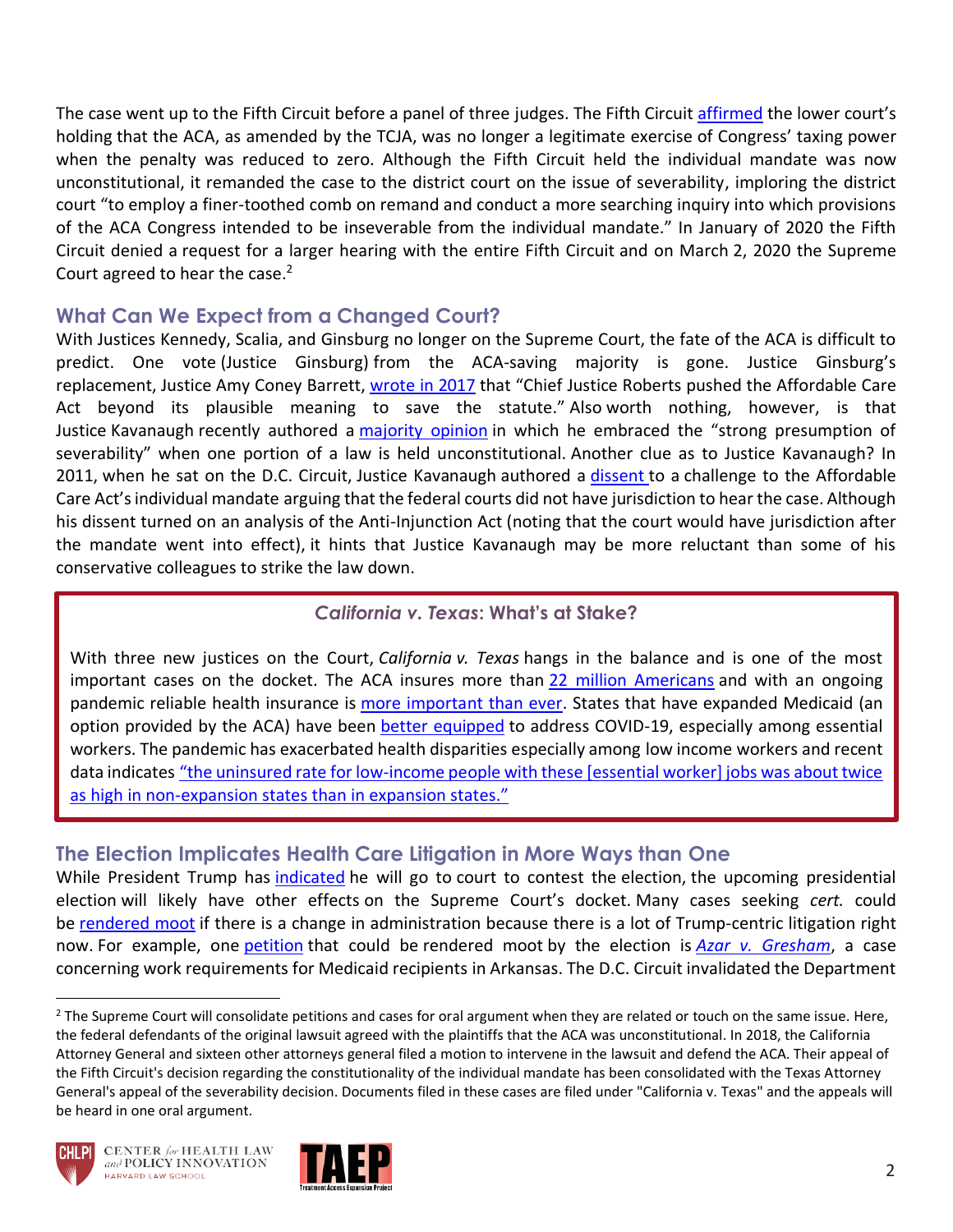The case went up to the Fifth Circuit before a panel of three judges. The Fifth Circuit affirmed the lower court's holding that the ACA, as amended by the TCJA, was no longer a legitimate exercise of Congress' taxing power when the penalty was reduced to zero. Although the Fifth Circuit held the individual mandate was now unconstitutional, it remanded the case to the district court on the issue of severability, imploring the district court "to employ a finer-toothed comb on remand and conduct a more searching inquiry into which provisions of the ACA Congress intended to be inseverable from the individual mandate." In January of 2020 the Fifth Circuit denied a request for a larger hearing with the entire Fifth Circuit and on March 2, 2020 the Supreme Court agreed to hear the case.<sup>2</sup>

#### **What Can We Expect from a Changed Court?**

With Justices Kennedy, Scalia, and Ginsburg no longer on the Supreme Court, the fate of the ACA is difficult to predict. One vote (Justice Ginsburg) from the ACA-saving majority is gone. Justice Ginsburg's replacement, Justice Amy Coney Barrett, [wrote in 2017](https://scholarship.law.nd.edu/cgi/viewcontent.cgi?article=2330&context=law_faculty_scholarship) that "Chief Justice Roberts pushed the Affordable Care Act beyond its plausible meaning to save the statute." Also worth nothing, however, is that Justice Kavanaugh recently authored a [majority opinion](https://www.supremecourt.gov/opinions/19pdf/19-631_2d93.pdf) in which he embraced the "strong presumption of severability" when one portion of a law is held unconstitutional. Another clue as to Justice Kavanaugh? In 2011, when he sat on the D.C. Circuit, Justice Kavanaugh authored a [dissent](https://scholar.google.com/scholar_case?case=12283140068462647556&q=661+F.3d+1&hl=en&as_sdt=4,130) to a challenge to the Affordable Care Act's individual mandate arguing that the federal courts did not have jurisdiction to hear the case. Although his dissent turned on an analysis of the Anti-Injunction Act (noting that the court would have jurisdiction after the mandate went into effect), it hints that Justice Kavanaugh may be more reluctant than some of his conservative colleagues to strike the law down.

#### *California v. Texas***: What's at Stake?**

With three new justices on the Court, *California v. Texas* hangs in the balance and is one of the most important cases on the docket. The ACA insures more than [22 million Americans](https://www.census.gov/library/publications/2019/demo/p60-267.html) and with an ongoing pandemic reliable health insurance is [more important than ever.](https://www.cbpp.org/health/health-care-lifeline-the-affordable-care-act-and-the-covid-19-pandemic) States that have expanded Medicaid (an option provided by the ACA) have been [better equipped](https://www.cbpp.org/research/health/states-that-have-expanded-medicaid-are-better-positioned-to-address-covid-19-and) to address COVID-19, especially among essential workers. The pandemic has exacerbated health disparities especially among low income workers and recent data indicates "the uninsured rate for low-income people with these [essential worker] jobs was about twice [as high in non-expansion states than in expansion stat](https://www.cbpp.org/research/health/states-that-have-expanded-medicaid-are-better-positioned-to-address-covid-19-and)es."

#### **The Election Implicates Health Care Litigation in More Ways than One**

While President Trump has *[indicated](https://www.npr.org/2020/09/23/916221894/trump-says-he-expect-election-results-to-end-up-at-supreme-court)* he will go to court to contest the election, the upcoming presidential election will likely have other effects on the Supreme Court's docket. Many cases seeking *cert.* could be [rendered moot](https://www.scotusblog.com/2020/09/october-term-2020-and-the-specter-of-a-lot-of-mootness/) if there is a change in administration because there is a lot of Trump-centric litigation right now. For example, one [petition](https://www.supremecourt.gov/DocketPDF/20/20-37/147638/20200716154543314_20-___%20-%20Gresham%20Philbrick%20Petition.pdf) that could be rendered moot by the election is *[Azar v. Gresham](https://casetext.com/case/gresham-v-azar-1)*, a case concerning work requirements for Medicaid recipients in Arkansas. The D.C. Circuit invalidated the Department

<sup>&</sup>lt;sup>2</sup> The Supreme Court will consolidate petitions and cases for oral argument when they are related or touch on the same issue. Here, the federal defendants of the original lawsuit agreed with the plaintiffs that the ACA was unconstitutional. In 2018, the California Attorney General and sixteen other attorneys general filed a motion to intervene in the lawsuit and defend the ACA. Their appeal of the Fifth Circuit's decision regarding the constitutionality of the individual mandate has been consolidated with the Texas Attorney General's appeal of the severability decision. Documents filed in these cases are filed under "California v. Texas" and the appeals will be heard in one oral argument.



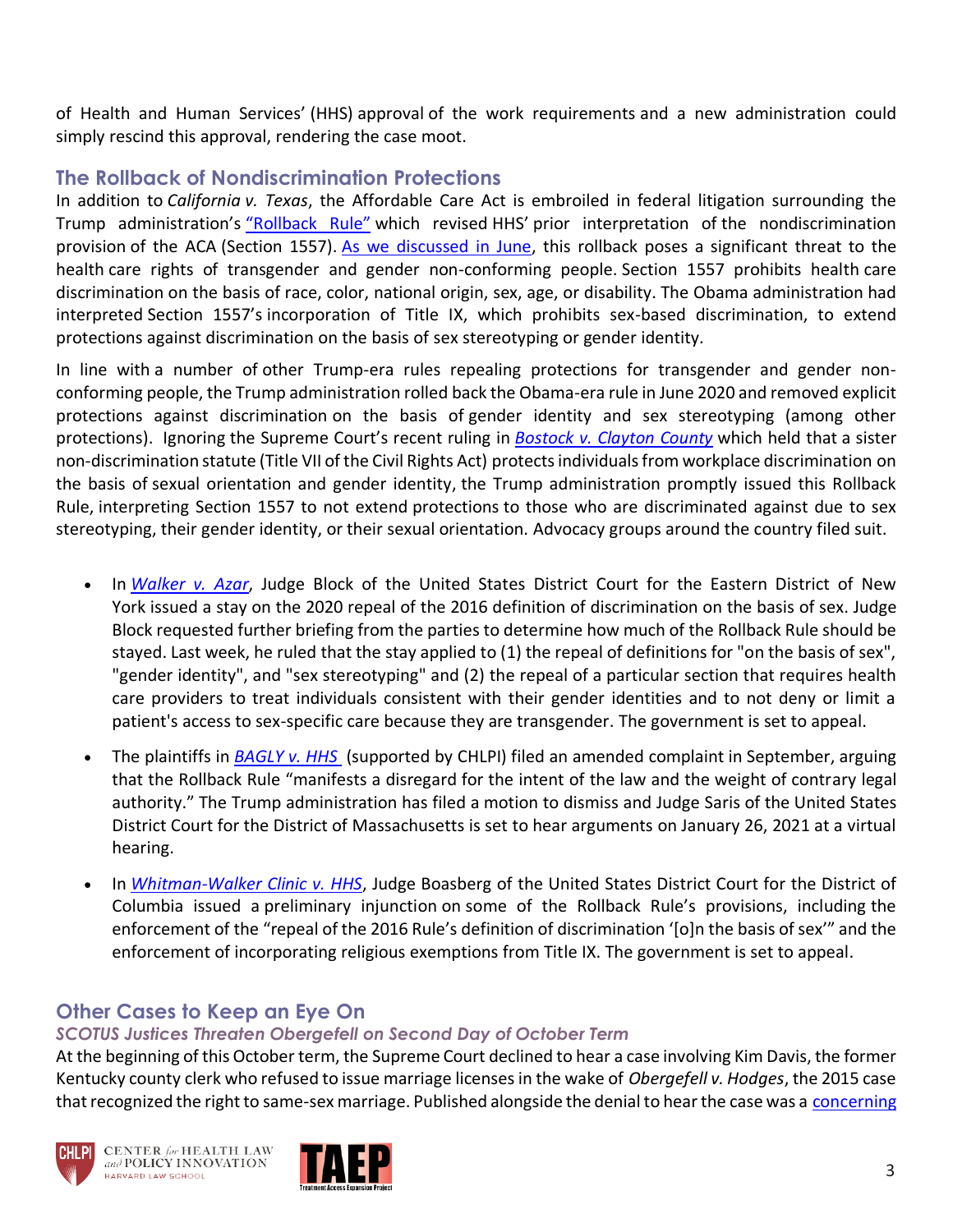of Health and Human Services' (HHS) approval of the work requirements and a new administration could simply rescind this approval, rendering the case moot.

### **The Rollback of Nondiscrimination Protections**

In addition to *California v. Texas*, the Affordable Care Act is embroiled in federal litigation surrounding the Trump administration's ["Rollback Rule"](https://www.federalregister.gov/documents/2020/06/19/2020-11758/nondiscrimination-in-health-and-health-education-programs-or-activities-delegation-of-authority) which revised HHS' prior interpretation of the nondiscrimination provision of the ACA (Section 1557). [As we discussed in June,](https://www.chlpi.org/wp-content/uploads/2013/12/HCIM_6_17_20_2020.pdf?eType=EmailBlastContent&eId=5895504a-3e86-4663-a160-c73c4cdb50ec) this rollback poses a significant threat to the health care rights of transgender and gender non-conforming people. Section 1557 prohibits health care discrimination on the basis of race, color, national origin, sex, age, or disability. The Obama administration had interpreted Section 1557's incorporation of Title IX, which prohibits sex-based discrimination, to extend protections against discrimination on the basis of sex stereotyping or gender identity.

In line with a number of other Trump-era rules repealing protections for transgender and gender nonconforming people, the Trump administration rolled back the Obama-era rule in June 2020 and removed explicit protections against discrimination on the basis of gender identity and sex stereotyping (among other protections). Ignoring the Supreme Court's recent ruling in *[Bostock v. Clayton County](https://www.supremecourt.gov/opinions/19pdf/17-1618_hfci.pdf)* which held that a sister non-discrimination statute (Title VII of the Civil Rights Act) protects individuals from workplace discrimination on the basis of sexual orientation and gender identity, the Trump administration promptly issued this Rollback Rule, interpreting Section 1557 to not extend protections to those who are discriminated against due to sex stereotyping, their gender identity, or their sexual orientation. Advocacy groups around the country filed suit.

- In *[Walker v. Azar](https://www.nytimes.com/2020/09/03/us/transgender-supreme-court-healthcare.html)*, Judge Block of the United States District Court for the Eastern District of New York issued a stay on the 2020 repeal of the 2016 definition of discrimination on the basis of sex. Judge Block requested further briefing from the parties to determine how much of the Rollback Rule should be stayed. Last week, he ruled that the stay applied to (1) the repeal of definitions for "on the basis of sex", "gender identity", and "sex stereotyping" and (2) the repeal of a particular section that requires health care providers to treat individuals consistent with their gender identities and to not deny or limit a patient's access to sex-specific care because they are transgender. The government is set to appeal.
- The plaintiffs in *[BAGLY v. HHS](https://www.chlpi.org/wp-content/uploads/2013/12/018-09.18.20-Amended-Complaint.pdf)* (supported by CHLPI) filed an amended complaint in September, arguing that the Rollback Rule "manifests a disregard for the intent of the law and the weight of contrary legal authority." The Trump administration has filed a motion to dismiss and Judge Saris of the United States District Court for the District of Massachusetts is set to hear arguments on January 26, 2021 at a virtual hearing.
- In *[Whitman-Walker Clinic v. HHS](https://www.lambdalegal.org/in-court/cases/whitman-walker-clinic-v-hhs)*, Judge Boasberg of the United States District Court for the District of Columbia issued a preliminary injunction on some of the Rollback Rule's provisions, including the enforcement of the "repeal of the 2016 Rule's definition of discrimination '[o]n the basis of sex'" and the enforcement of incorporating religious exemptions from Title IX. The government is set to appeal.

## **Other Cases to Keep an Eye On**

#### *SCOTUS Justices Threaten Obergefell on Second Day of October Term*

At the beginning of this October term, the Supreme Court declined to hear a case involving Kim Davis, the former Kentucky county clerk who refused to issue marriage licenses in the wake of *Obergefell v. Hodges*, the 2015 case that recognized the right to same-sex marriage. Published alongside the denial to hear the case was a [concerning](https://www.supremecourt.gov/opinions/20pdf/19-926_5hdk.pdf)